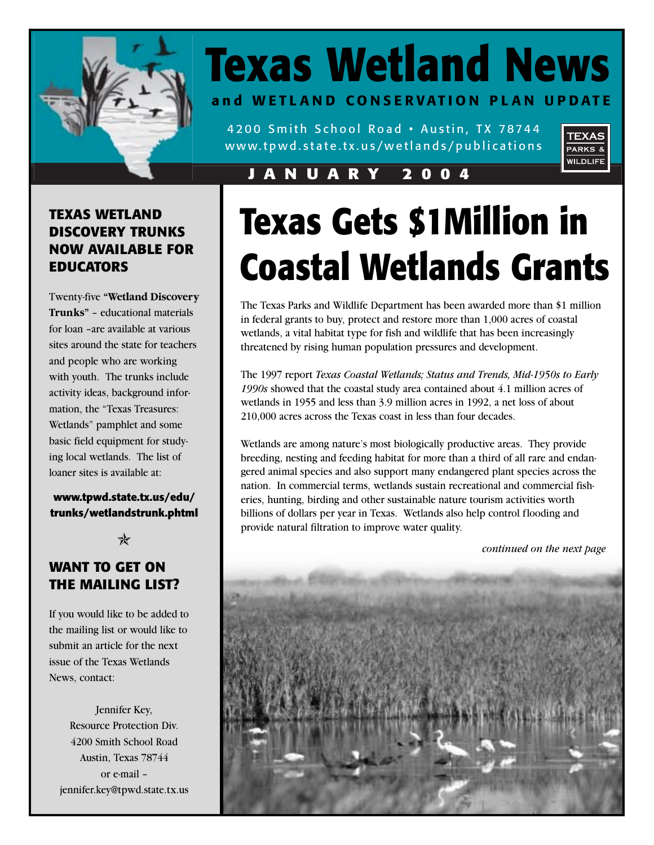

# **Texas Wetland News and WETLAND CONSERVATION PLAN UPDATE**

4200 Smith School Road • Austin, TX 78744 www.tpwd.state.tx.us/wetlands/publications



### **JANUARY 2004**

### **TEXAS WETLAND DISCOVERY TRUNKS NOW AVAILABLE FOR EDUCATORS**

Twenty-five **"Wetland Discovery Trunks"** – educational materials for loan –are available at various sites around the state for teachers and people who are working with youth. The trunks include activity ideas, background information, the "Texas Treasures: Wetlands" pamphlet and some basic field equipment for studying local wetlands. The list of loaner sites is available at:

**www.tpwd.state.tx.us/edu/ trunks/wetlandstrunk.phtml**

 $\ast$ 

### **WANT TO GET ON THE MAILING LIST?**

If you would like to be added to the mailing list or would like to submit an article for the next issue of the Texas Wetlands News, contact:

Jennifer Key, Resource Protection Div. 4200 Smith School Road Austin, Texas 78744 or e-mail – jennifer.key@tpwd.state.tx.us

# **Texas Gets \$1Million in Coastal Wetlands Grants**

The Texas Parks and Wildlife Department has been awarded more than \$1 million in federal grants to buy, protect and restore more than 1,000 acres of coastal wetlands, a vital habitat type for fish and wildlife that has been increasingly threatened by rising human population pressures and development.

The 1997 report *Texas Coastal Wetlands; Status and Trends, Mid-1950s to Early 1990s* showed that the coastal study area contained about 4.1 million acres of wetlands in 1955 and less than 3.9 million acres in 1992, a net loss of about 210,000 acres across the Texas coast in less than four decades.

Wetlands are among nature's most biologically productive areas. They provide breeding, nesting and feeding habitat for more than a third of all rare and endangered animal species and also support many endangered plant species across the nation. In commercial terms, wetlands sustain recreational and commercial fisheries, hunting, birding and other sustainable nature tourism activities worth billions of dollars per year in Texas. Wetlands also help control flooding and provide natural filtration to improve water quality.

*continued on the next page*

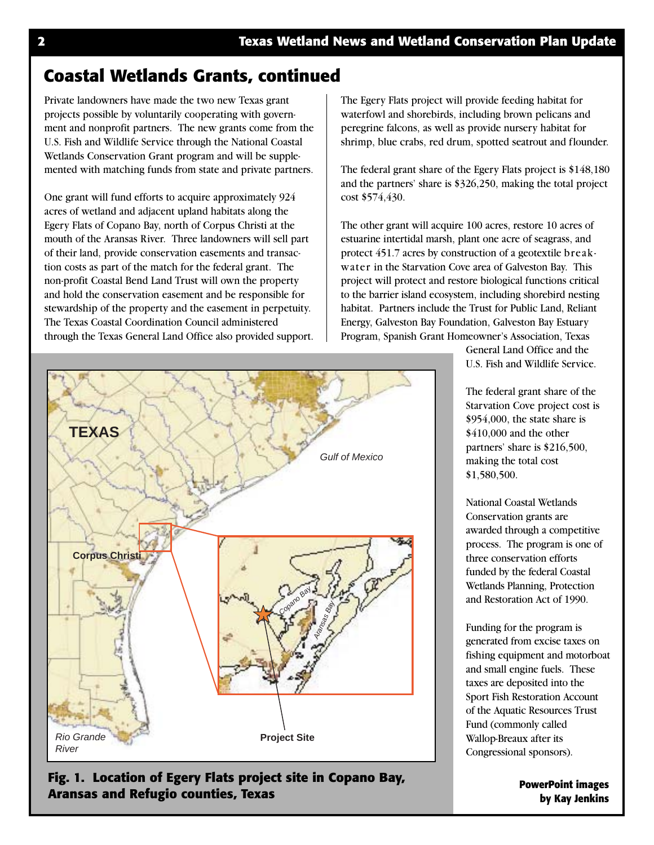### **Coastal Wetlands Grants, continued**

Private landowners have made the two new Texas grant projects possible by voluntarily cooperating with government and nonprofit partners. The new grants come from the U.S. Fish and Wildlife Service through the National Coastal Wetlands Conservation Grant program and will be supplemented with matching funds from state and private partners.

One grant will fund efforts to acquire approximately 924 acres of wetland and adjacent upland habitats along the Egery Flats of Copano Bay, north of Corpus Christi at the mouth of the Aransas River. Three landowners will sell part of their land, provide conservation easements and transaction costs as part of the match for the federal grant. The non-profit Coastal Bend Land Trust will own the property and hold the conservation easement and be responsible for stewardship of the property and the easement in perpetuity. The Texas Coastal Coordination Council administered through the Texas General Land Office also provided support. The Egery Flats project will provide feeding habitat for waterfowl and shorebirds, including brown pelicans and peregrine falcons, as well as provide nursery habitat for shrimp, blue crabs, red drum, spotted seatrout and flounder.

The federal grant share of the Egery Flats project is \$148,180 and the partners' share is \$326,250, making the total project cost \$574,430.

The other grant will acquire 100 acres, restore 10 acres of estuarine intertidal marsh, plant one acre of seagrass, and protect 451.7 acres by construction of a geotextile breakwater in the Starvation Cove area of Galveston Bay. This project will protect and restore biological functions critical to the barrier island ecosystem, including shorebird nesting habitat. Partners include the Trust for Public Land, Reliant Energy, Galveston Bay Foundation, Galveston Bay Estuary Program, Spanish Grant Homeowner's Association, Texas



**Fig. 1. Location of Egery Flats project site in Copano Bay, Aransas and Refugio counties, Texas PowerPoint images**

General Land Office and the U.S. Fish and Wildlife Service.

The federal grant share of the Starvation Cove project cost is \$954,000, the state share is \$410,000 and the other partners' share is \$216,500, making the total cost \$1,580,500.

National Coastal Wetlands Conservation grants are awarded through a competitive process. The program is one of three conservation efforts funded by the federal Coastal Wetlands Planning, Protection and Restoration Act of 1990.

Funding for the program is generated from excise taxes on fishing equipment and motorboat and small engine fuels. These taxes are deposited into the Sport Fish Restoration Account of the Aquatic Resources Trust Fund (commonly called Wallop-Breaux after its Congressional sponsors).

**by Kay Jenkins**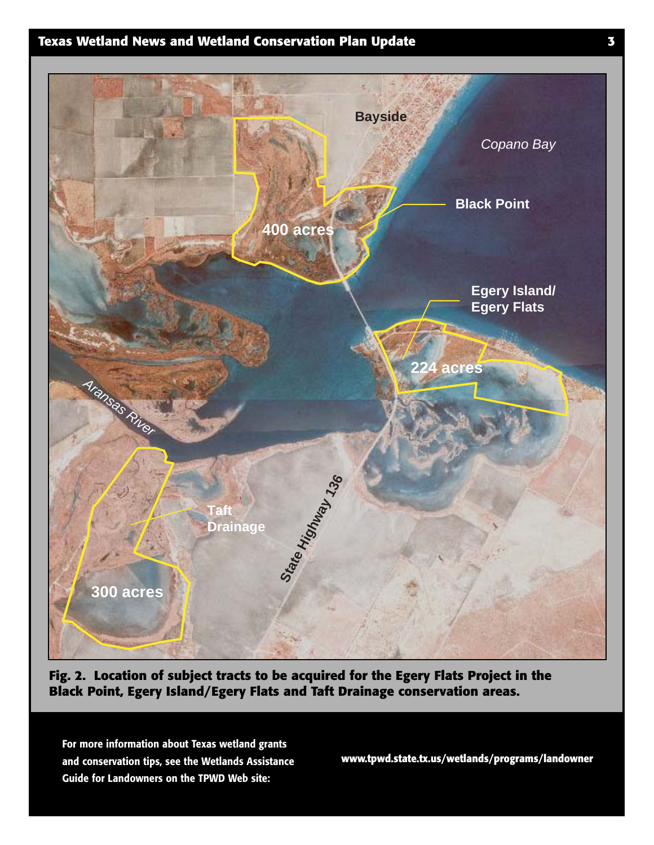### **Texas Wetland News and Wetland Conservation Plan Update 3**



**Fig. 2. Location of subject tracts to be acquired for the Egery Flats Project in the Black Point, Egery Island/Egery Flats and Taft Drainage conservation areas.**

**For more information about Texas wetland grants and conservation tips, see the Wetlands Assistance Guide for Landowners on the TPWD Web site:** 

**www.tpwd.state.tx.us/wetlands/programs/landowner**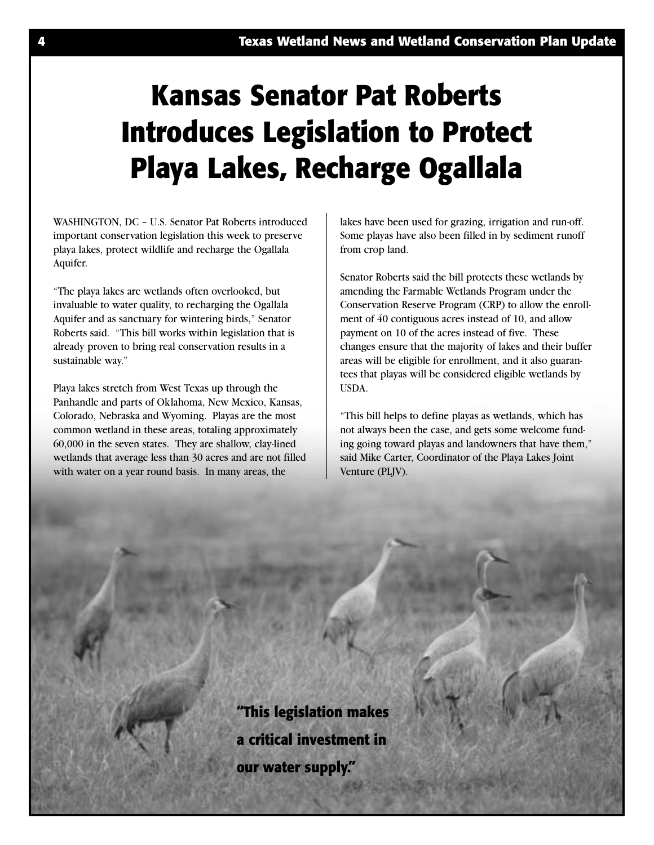# **Kansas Senator Pat Roberts Introduces Legislation to Protect Playa Lakes, Recharge Ogallala**

WASHINGTON, DC – U.S. Senator Pat Roberts introduced important conservation legislation this week to preserve playa lakes, protect wildlife and recharge the Ogallala Aquifer.

"The playa lakes are wetlands often overlooked, but invaluable to water quality, to recharging the Ogallala Aquifer and as sanctuary for wintering birds," Senator Roberts said. "This bill works within legislation that is already proven to bring real conservation results in a sustainable way."

Playa lakes stretch from West Texas up through the Panhandle and parts of Oklahoma, New Mexico, Kansas, Colorado, Nebraska and Wyoming. Playas are the most common wetland in these areas, totaling approximately 60,000 in the seven states. They are shallow, clay-lined wetlands that average less than 30 acres and are not filled with water on a year round basis. In many areas, the

lakes have been used for grazing, irrigation and run-off. Some playas have also been filled in by sediment runoff from crop land.

Senator Roberts said the bill protects these wetlands by amending the Farmable Wetlands Program under the Conservation Reserve Program (CRP) to allow the enrollment of 40 contiguous acres instead of 10, and allow payment on 10 of the acres instead of five. These changes ensure that the majority of lakes and their buffer areas will be eligible for enrollment, and it also guarantees that playas will be considered eligible wetlands by USDA.

"This bill helps to define playas as wetlands, which has not always been the case, and gets some welcome funding going toward playas and landowners that have them," said Mike Carter, Coordinator of the Playa Lakes Joint Venture (PLJV).

**"This legislation makes a critical investment in our water supply."**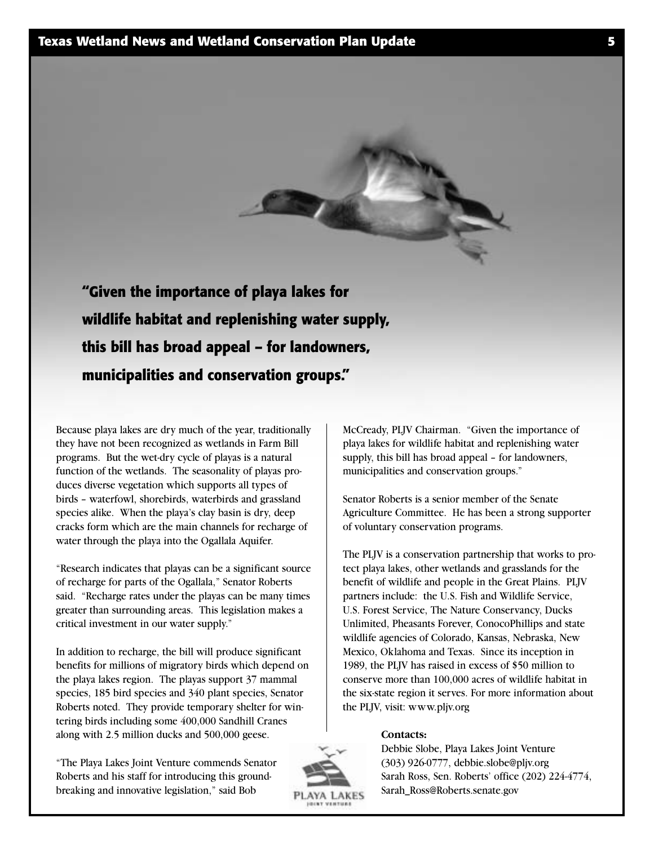

Because playa lakes are dry much of the year, traditionally they have not been recognized as wetlands in Farm Bill programs. But the wet-dry cycle of playas is a natural function of the wetlands. The seasonality of playas produces diverse vegetation which supports all types of birds – waterfowl, shorebirds, waterbirds and grassland species alike. When the playa's clay basin is dry, deep cracks form which are the main channels for recharge of water through the playa into the Ogallala Aquifer.

"Research indicates that playas can be a significant source of recharge for parts of the Ogallala," Senator Roberts said. "Recharge rates under the playas can be many times greater than surrounding areas. This legislation makes a critical investment in our water supply."

In addition to recharge, the bill will produce significant benefits for millions of migratory birds which depend on the playa lakes region. The playas support 37 mammal species, 185 bird species and 340 plant species, Senator Roberts noted. They provide temporary shelter for wintering birds including some 400,000 Sandhill Cranes along with 2.5 million ducks and 500,000 geese.

"The Playa Lakes Joint Venture commends Senator Roberts and his staff for introducing this groundbreaking and innovative legislation," said Bob



Senator Roberts is a senior member of the Senate Agriculture Committee. He has been a strong supporter of voluntary conservation programs.

The PLJV is a conservation partnership that works to protect playa lakes, other wetlands and grasslands for the benefit of wildlife and people in the Great Plains. PLJV partners include: the U.S. Fish and Wildlife Service, U.S. Forest Service, The Nature Conservancy, Ducks Unlimited, Pheasants Forever, ConocoPhillips and state wildlife agencies of Colorado, Kansas, Nebraska, New Mexico, Oklahoma and Texas. Since its inception in 1989, the PLJV has raised in excess of \$50 million to conserve more than 100,000 acres of wildlife habitat in the six-state region it serves. For more information about the PLJV, visit: www.pljv.org

#### **Contacts:**



Debbie Slobe, Playa Lakes Joint Venture (303) 926-0777, debbie.slobe@pljv.org Sarah Ross, Sen. Roberts' office (202) 224-4774, Sarah\_Ross@Roberts.senate.gov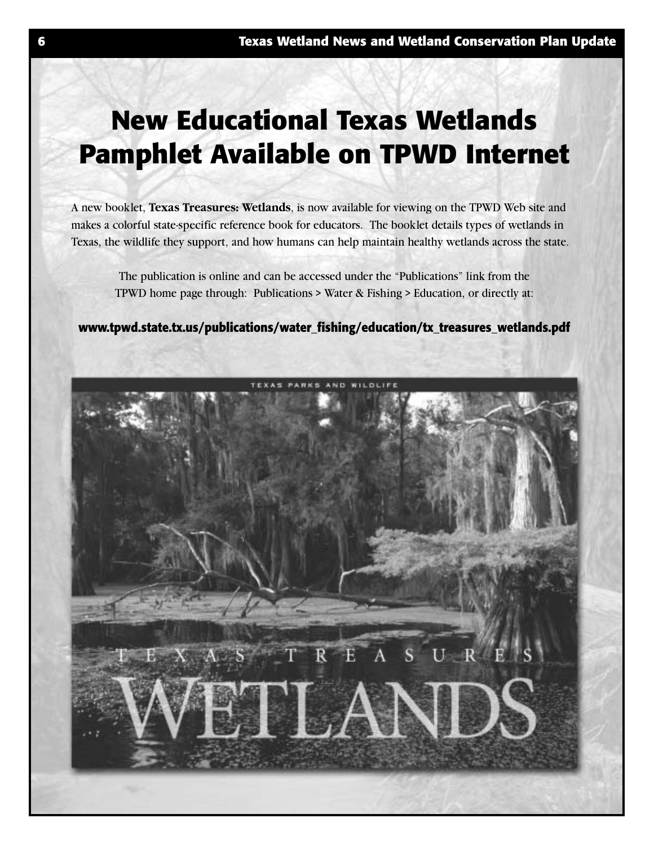# **New Educational Texas Wetlands Pamphlet Available on TPWD Internet**

A new booklet, **Texas Treasures: Wetlands**, is now available for viewing on the TPWD Web site and makes a colorful state-specific reference book for educators. The booklet details types of wetlands in Texas, the wildlife they support, and how humans can help maintain healthy wetlands across the state.

The publication is online and can be accessed under the "Publications" link from the TPWD home page through: Publications > Water & Fishing > Education, or directly at:

**www.tpwd.state.tx.us/publications/water\_fishing/education/tx\_treasures\_wetlands.pdf**

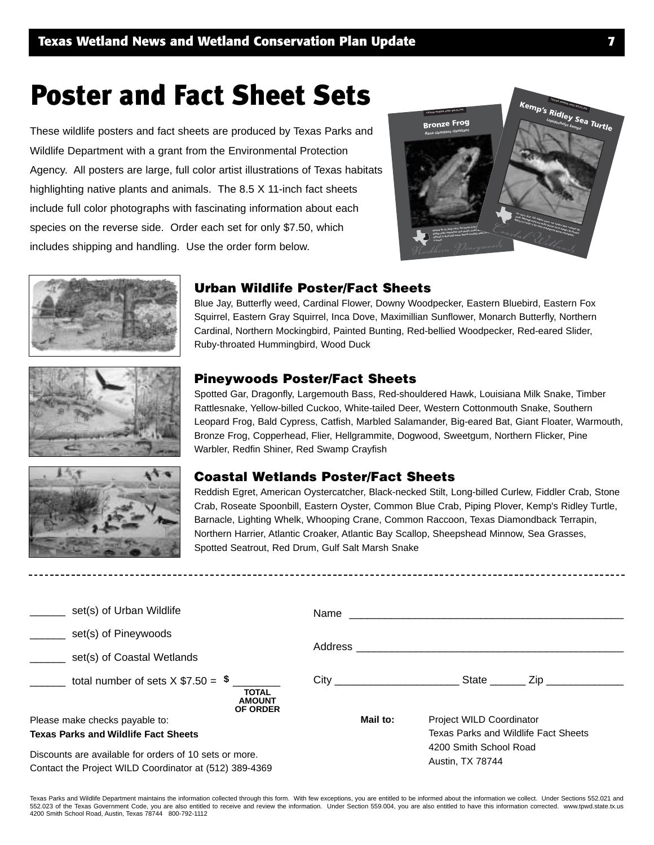# Poster and Fact Sheet Sets

These wildlife posters and fact sheets are produced by Texas Parks and Wildlife Department with a grant from the Environmental Protection Agency. All posters are large, full color artist illustrations of Texas habitats highlighting native plants and animals. The 8.5 X 11-inch fact sheets include full color photographs with fascinating information about each species on the reverse side. Order each set for only \$7.50, which includes shipping and handling. Use the order form below.





### **Urban Wildlife Poster/Fact Sheets**

Blue Jay, Butterfly weed, Cardinal Flower, Downy Woodpecker, Eastern Bluebird, Eastern Fox Squirrel, Eastern Gray Squirrel, Inca Dove, Maximillian Sunflower, Monarch Butterfly, Northern Cardinal, Northern Mockingbird, Painted Bunting, Red-bellied Woodpecker, Red-eared Slider, Ruby-throated Hummingbird, Wood Duck





### **Pineywoods Poster/Fact Sheets**

Spotted Gar, Dragonfly, Largemouth Bass, Red-shouldered Hawk, Louisiana Milk Snake, Timber Rattlesnake, Yellow-billed Cuckoo, White-tailed Deer, Western Cottonmouth Snake, Southern Leopard Frog, Bald Cypress, Catfish, Marbled Salamander, Big-eared Bat, Giant Floater, Warmouth, Bronze Frog, Copperhead, Flier, Hellgrammite, Dogwood, Sweetgum, Northern Flicker, Pine Warbler, Redfin Shiner, Red Swamp Crayfish

#### **Coastal Wetlands Poster/Fact Sheets**

Reddish Egret, American Oystercatcher, Black-necked Stilt, Long-billed Curlew, Fiddler Crab, Stone Crab, Roseate Spoonbill, Eastern Oyster, Common Blue Crab, Piping Plover, Kemp's Ridley Turtle, Barnacle, Lighting Whelk, Whooping Crane, Common Raccoon, Texas Diamondback Terrapin, Northern Harrier, Atlantic Croaker, Atlantic Bay Scallop, Sheepshead Minnow, Sea Grasses, Spotted Seatrout, Red Drum, Gulf Salt Marsh Snake

| set(s) of Urban Wildlife                                                                                         | Name     |                                                                                                                               |
|------------------------------------------------------------------------------------------------------------------|----------|-------------------------------------------------------------------------------------------------------------------------------|
| set(s) of Pineywoods                                                                                             |          |                                                                                                                               |
| set(s) of Coastal Wetlands                                                                                       |          |                                                                                                                               |
| total number of sets $X$ \$7.50 = $\frac{1}{2}$<br><b>TOTAL</b><br><b>AMOUNT</b><br><b>OF ORDER</b>              |          | State ______<br>Zip in the set of the set of the set of the set of the set of the set of the set of the set of the set of the |
| Please make checks payable to:                                                                                   | Mail to: | <b>Project WILD Coordinator</b>                                                                                               |
| <b>Texas Parks and Wildlife Fact Sheets</b>                                                                      |          | Texas Parks and Wildlife Fact Sheets                                                                                          |
| Discounts are available for orders of 10 sets or more.<br>Contact the Project WILD Coordinator at (512) 389-4369 |          | 4200 Smith School Road<br>Austin, TX 78744                                                                                    |

Texas Parks and Wildlife Department maintains the information collected through this form. With few exceptions, you are entitled to be informed about the information we collect. Under Sections 552.021 and 552.023 of the Texas Government Code, you are also entitled to receive and review the information. Under Section 559.004, you are also entitled to have this information corrected. www.tpwd.state.tx.us 4200 Smith School Road, Austin, Texas 78744 800-792-1112